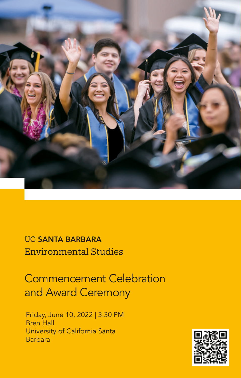

UC SANTA BARBARA Environmental Studies

Commencement Celebration and Award Ceremony

Friday, June 10, 2022 | 3:30 PM Bren Hall University of California Santa Barbara

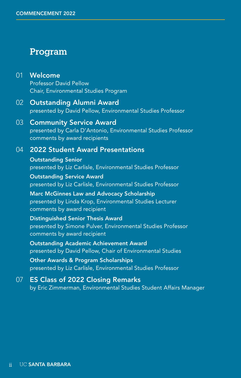### Program

- 01 Welcome Professor David Pellow Chair, Environmental Studies Program
- 02 Outstanding Alumni Award presented by David Pellow, Environmental Studies Professor
- 03 Community Service Award presented by Carla D'Antonio, Environmental Studies Professor comments by award recipients
- 04 2022 Student Award Presentations

Outstanding Senior presented by Liz Carlisle, Environmental Studies Professor

Outstanding Service Award presented by Liz Carlisle, Environmental Studies Professor

Marc McGinnes Law and Advocacy Scholarship presented by Linda Krop, Environmental Studies Lecturer comments by award recipient

Distinguished Senior Thesis Award presented by Simone Pulver, Environmental Studies Professor comments by award recipient

Outstanding Academic Achievement Award presented by David Pellow, Chair of Environmental Studies

Other Awards & Program Scholarships presented by Liz Carlisle, Environmental Studies Professor

07 ES Class of 2022 Closing Remarks by Eric Zimmerman, Environmental Studies Student Affairs Manager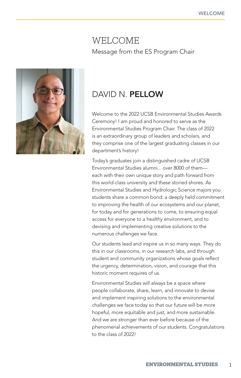### WELCOME Message from the ES Program Chair



## DAVID N. PELLOW

Welcome to the 2022 UCSB Environmental Studies Awards Ceremony! I am proud and honored to serve as the Environmental Studies Program Chair. The class of 2022 is an extraordinary group of leaders and scholars, and they comprise one of the largest graduating classes in our department's history!

Today's graduates join a distinguished cadre of UCSB Environmental Studies alumni... over 8000 of them each with their own unique story and path forward from this world-class university and these storied shores. As Environmental Studies and Hydrologic Science majors you students share a common bond: a deeply held commitment to improving the health of our ecosystems and our planet, for today and for generations to come, to ensuring equal access for everyone to a healthy environment, and to devising and implementing creative solutions to the numerous challenges we face.

Our students lead and inspire us in so many ways. They do this in our classrooms, in our research labs, and through student and community organizations whose goals reflect the urgency, determination, vision, and courage that this historic moment requires of us.

Environmental Studies will always be a space where people collaborate, share, learn, and innovate to devise and implement inspiring solutions to the environmental challenges we face today so that our future will be more hopeful, more equitable and just, and more sustainable. And we are stronger than ever before because of the phenomenal achievements of our students. Congratulations to the class of 2022!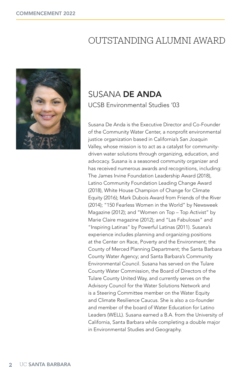# OUTSTANDING ALUMNI AWARD



## SUSANA DE ANDA UCSB Environmental Studies '03

Susana De Anda is the Executive Director and Co-Founder of the Community Water Center, a nonprofit environmental justice organization based in California's San Joaquin Valley, whose mission is to act as a catalyst for communitydriven water solutions through organizing, education, and advocacy. Susana is a seasoned community organizer and has received numerous awards and recognitions, including: The James Irvine Foundation Leadership Award (2018), Latino Community Foundation Leading Change Award (2018), White House Champion of Change for Climate Equity (2016); Mark Dubois Award from Friends of the River (2014); "150 Fearless Women in the World" by Newsweek Magazine (2012); and "Women on Top – Top Activist" by Marie Claire magazine (2012); and "Las Fabulosas" and "Inspiring Latinas" by Powerful Latinas (2011). Susana's experience includes planning and organizing positions at the Center on Race, Poverty and the Environment; the County of Merced Planning Department; the Santa Barbara County Water Agency; and Santa Barbara's Community Environmental Council. Susana has served on the Tulare County Water Commission, the Board of Directors of the Tulare County United Way, and currently serves on the Advisory Council for the Water Solutions Network and is a Steering Committee member on the Water Equity and Climate Resilience Caucus. She is also a co-founder and member of the board of Water Education for Latino Leaders (WELL). Susana earned a B.A. from the University of California, Santa Barbara while completing a double major in Environmental Studies and Geography.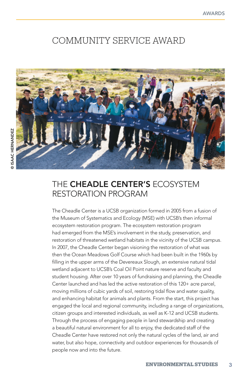## COMMUNITY SERVICE AWARD



### THE CHEADLE CENTER'S ECOSYSTEM RESTORATION PROGRAM

The Cheadle Center is a UCSB organization formed in 2005 from a fusion of the Museum of Systematics and Ecology (MSE) with UCSB's then informal ecosystem restoration program. The ecosystem restoration program had emerged from the MSE's involvement in the study, preservation, and restoration of threatened wetland habitats in the vicinity of the UCSB campus. In 2007, the Cheadle Center began visioning the restoration of what was then the Ocean Meadows Golf Course which had been built in the 1960s by filling in the upper arms of the Devereaux Slough, an extensive natural tidal wetland adjacent to UCSB's Coal Oil Point nature reserve and faculty and student housing. After over 10 years of fundraising and planning, the Cheadle Center launched and has led the active restoration of this 120+ acre parcel, moving millions of cubic yards of soil, restoring tidal flow and water quality, and enhancing habitat for animals and plants. From the start, this project has engaged the local and regional community, including a range of organizations, citizen groups and interested individuals, as well as K-12 and UCSB students. Through the process of engaging people in land stewardship and creating a beautiful natural environment for all to enjoy, the dedicated staff of the Cheadle Center have restored not only the natural cycles of the land, air and water, but also hope, connectivity and outdoor experiences for thousands of people now and into the future.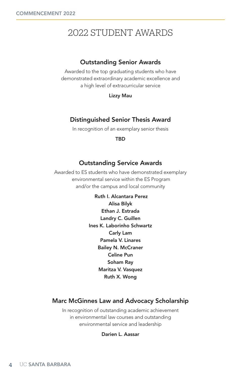# 2022 STUDENT AWARDS

#### Outstanding Senior Awards

Awarded to the top graduating students who have demonstrated extraordinary academic excellence and a high level of extracurricular service

Lizzy Mau

#### Distinguished Senior Thesis Award

In recognition of an exemplary senior thesis

TBD

#### Outstanding Service Awards

Awarded to ES students who have demonstrated exemplary environmental service within the ES Program and/or the campus and local community

> Ruth I. Alcantara Perez Alisa Bilyk Ethan J. Estrada Landry C. Guillen Ines K. Laborinho Schwartz Carly Lam Pamela V. Linares Bailey N. McCraner Celine Pun Soham Ray Maritza V. Vasquez Ruth X. Wong

#### Marc McGinnes Law and Advocacy Scholarship

In recognition of outstanding academic achievement in environmental law courses and outstanding environmental service and leadership

#### Darien L. Aassar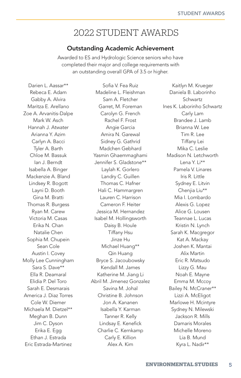## 2022 STUDENT AWARDS

#### Outstanding Academic Achievement

Awarded to ES and Hydrologic Science seniors who have completed their major and college requirements with an outstanding overall GPA of 3.5 or higher.

Darien L. Aassar\*\* Rebeca E. Adam Gabby A. Alvira Maritza E. Arellano Zoe A. Arvanitis-Dalpe Mark W. Asch Hannah J. Atwater Arianna Y. Azim Carlyn A. Bacci Tyler A. Barth Chloe M. Bassuk Ian J. Berndt Isabella A. Binger Mackenzie A. Bland Lindsey R. Bogott Layni D. Booth Gina M. Bratti Thomas R. Burgess Ryan M. Carew Victoria M. Casas Erika N. Chan Natalie Chen Sophia M. Chupein Sean Cole Austin I. Covey Molly Lee Cunningham Sara S. Dave\*\* Ella R. Deamaral Elidia P. Del Toro Sarah E. Desmarais America J. Diaz Torres Cole W. Diemer Michaela M. Dietzel\*\* Meghan B. Dunn Jim C. Dyson Erika E. Egg Ethan J. Estrada Eric Estrada-Martinez

Sofia V. Fea Ruiz Madeline L. Fleishman Sam A. Fletcher Garret, M. Foreman Carolyn G. French Rachel F. Frost Angie Garcia Amira N. Garewal Sidney G. Gathrid Madchen Gebhard Yasmin Ghaemmaghami Jennifer S. Gladstone\*\* Laylah K. Gorlero Landry C. Guillen Thomas C. Hafner Hali C. Hammargren Lauren C. Harrison Cameron F. Heiter Jessica M. Hernandez Isabel M. Hollingsworth Daisy B. Houle Tiffany Hsu Jinze Hu Michael Huang\*\* Qin Huang Bryce S. Jacoubowsky Kendall M. James Katherine M. Jiang Li Abril M. Jimenez Gonzalez Savina M. Johal Christine B. Johnson Jon A. Kananen Isabella Y. Karman Tanner R. Kelly Lindsay E. Kenefick Charlie C. Kernkamp Carly E. Killion Alex A. Kim

Kaitlyn M. Krueger Daniela B. Laborinho Schwartz Ines K. Laborinho Schwartz Carly Lam Brandee J. Lamb Brianna W. Lee Tim R. Lee Tiffany Lei Mika C. Leslie Madison N. Letchworth Lena Y. Li\*\* Pamela V. Linares Iris R. Little Sydney E. Litvin Chenjia Liu\*\* Mia I. Lombardo Alexis G. Lopez Alice G. Lousen Teannae L. Lucas Kristin N. Lynch Sarah K. Macgregor Kat A. Mackay Joshen K. Mantai Alix Martin Eric R. Matsudo Lizzy G. Mau Noah E. Mayne Emma M. Mccoy Bailey N. McCraner\*\* Lizzi A. McEligot Marlowe H. Mcintyre Sydney N. Milewski Jackson R. Mills Damaris Morales Michelle Moreno Lia B. Mund Kyra L. Nadir\*\*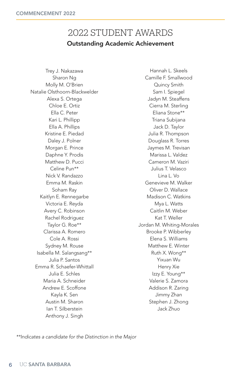### 2022 STUDENT AWARDS Outstanding Academic Achievement

Trey J. Nakazawa Sharon Ng Molly M. O'Brien Natalie Olsthoorn-Blackwelder Alexa S. Ortega Chloe E. Ortiz Ella C. Peter Kari L. Phillipp Ella A. Phillips Kristine E. Piedad Daley J. Polner Morgan E. Prince Daphne Y. Prodis Matthew D. Pucci Celine Pun\*\* Nick V. Randazzo Emma M. Raskin Soham Ray Kaitlyn E. Rennegarbe Victoria E. Reyda Avery C. Robinson Rachel Rodriguez Taylor G. Roe\*\* Clarissa A. Romero Cole A. Rossi Sydney M. Rouse Isabella M. Salangsang\*\* Julia P. Santos Emma R. Schaefer-Whittall Julia E. Schles Maria A. Schneider Andrew E. Scoffone Kayla K. Sen Austin M. Sharon Ian T. Silberstein Anthony J. Singh

Hannah L. Skeels Camille F. Smallwood Quincy Smith Sam I. Spiegel Jadyn M. Steaffens Cierra M. Sterling Eliana Stone\*\* Triana Subijana Jack D. Taylor Julia R. Thompson Douglass R. Torres Jaymes M. Trevisan Marissa L. Valdez Cameron M. Vaziri Julius T. Velasco Lina L. Vo Genevieve M. Walker Oliver D. Wallace Madison C. Watkins Mya L. Watts Caitlin M. Weber Kat T. Weller Jordan M. Whiting-Morales Brooke P. Wibberley Elena S. Williams Matthew E. Winter Ruth X. Wong\*\* Yixuan Wu Henry Xie Izzy E. Young\*\* Valerie S. Zamora Addison R. Zaring Jimmy Zhan Stephen J. Zhong Jack Zhuo

*\*\*Indicates a candidate for the Distinction in the Major*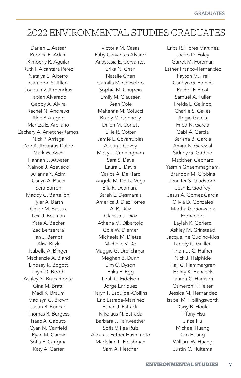## 2022 ENVIRONMENTAL STUDIES GRADUATES

Darien L. Aassar Rebeca E. Adam Kimberly R. Aguilar Ruth I. Alcantara Perez Natalya E. Alcerro Cameron S. Allen Joaquin V. Almendras Fabian Alvarado Gabby A. Alvira Rachel N. Andrews Alec P. Aragon Maritza E. Arellano Zachary A. Arretche-Ramos Nick P. Arriaga Zoe A. Arvanitis-Dalpe Mark W. Asch Hannah J. Atwater Nainoa J. Azevedo Arianna Y. Azim Carlyn A. Bacci Sera Barron Maddy G. Bartelloni Tyler A. Barth Chloe M. Bassuk Lexi J. Beaman Kate A. Becker Zac Benzerara Ian J. Berndt Alisa Bilyk Isabella A. Binger Mackenzie A. Bland Lindsey R. Bogott Layni D. Booth Ashley N. Bracamonte Gina M. Bratti Madi K. Braum Madisyn G. Brown Justin R. Buncab Thomas R. Burgess Isaac A. Cabuto Cyan N. Canfield Ryan M. Carew Sofia E. Carigma Katy A. Carter

Victoria M. Casas Faby Cervantes Alvarez Anastasia E. Cervantes Erika N. Chan Natalie Chen Camilla M. Chesebro Sophia M. Chupein Emily M. Claussen Sean Cole Makenna M. Colucci Brady M. Connolly Dillen M. Corlett Ellie R. Cotter Jamie L. Covarrubias Austin I. Covey Molly L. Cunningham Sara S. Dave Laura E. Davis Carlos A. De Haro Angela M. De La Vega Ella R. Deamaral Sarah E. Desmarais America J. Diaz Torres Al R. Diaz Clarissa J. Diaz Athena M. Dibartolo Cole W. Diemer Michaela M. Dietzel Michelle V. Do Maggie G. Drelichman Meghan B. Dunn Jim C. Dyson Erika E. Egg Leah C. Eidelson Jorge Enriquez Taryn F. Esquibel-Collins Eric Estrada-Martinez Ethan J. Estrada Nikolaus N. Estrada Barbara J. Fairweather Sofia V. Fea Ruiz Alexis J. Fether-Hashimoto Madeline L. Fleishman Sam A. Fletcher

Erica R. Flores Martinez Jacob D. Foley Garret M. Foreman Esther Franco-Hernandez Payton M. Frei Carolyn G. French Rachel F. Frost Samuel A. Fuller Freida L. Galindo Charlie S. Galles Angie Garcia Frida N. Garcia Gabi A. Garcia Sarisha B. Garcia Amira N. Garewal Sidney G. Gathrid Madchen Gebhard Yasmin Ghaemmaghami Brandon M. Gibbins Jennifer S. Gladstone Josh E. Godfrey Jesus A. Gomez Garcia Olivia D. Gonzales Martha G. Gonzalez Fernandez Laylah K. Gorlero Ashley M. Grinstead Jacqueline Gudino-Rios Landry C. Guillen Thomas C. Hafner Nick J. Halphide Hali C. Hammargren Henry K. Hancock Lauren C. Harrison Cameron F. Heiter Jessica M. Hernandez Isabel M. Hollingsworth Daisy B. Houle Tiffany Hsu Jinze Hu Michael Huang Qin Huang William W. Huang Justin C. Huitema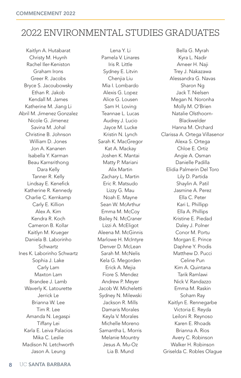# 2022 ENVIRONMENTAL STUDIES GRADUATES

Kaitlyn A. Hutabarat Christy M. Huynh Rachel Iler-Keniston Graham Irons Greer R. Jacobs Bryce S. Jacoubowsky Ethan R. Jakob Kendall M. James Katherine M. Jiang Li Abril M. Jimenez Gonzalez Nicole G. Jimenez Savina M. Johal Christine B. Johnson William D. Jones Jon A. Kananen Isabella Y. Karman Beau Karnsrithong Dara Kelly Tanner R. Kelly Lindsay E. Kenefick Katherine R. Kennedy Charlie C. Kernkamp Carly E. Killion Alex A. Kim Kendra R. Koch Cameron B. Kollar Kaitlyn M. Krueger Daniela B. Laborinho Schwartz Ines K. Laborinho Schwartz Sophia J. Lake Carly Lam Maxton Lam Brandee J. Lamb Waverly K. Latourette Jerrick Le Brianna W. Lee Tim R. Lee Amanda N. Legaspi Tiffany Lei Karla E. Leiva Palacios Mika C. Leslie Madison N. Letchworth Jason A. Leung

Lena Y. Li Pamela V. Linares Iris R. Little Sydney E. Litvin Chenjia Liu Mia I. Lombardo Alexis G. Lopez Alice G. Lousen Sam H. Loving Teannae L. Lucas Audrey J. Lucio Jayce M. Lucke Kristin N. Lynch Sarah K. MacGregor Kat A. Mackay Joshen K. Mantai Matty P. Mariani Alix Martin Zachary L. Martin Eric R. Matsudo Lizzy G. Mau Noah E. Mayne Sean W. McArthur Emma M. McCoy Bailey N. McCraner Lizzi A. McEligot Aleena M. McGinnis Marlowe H. McIntyre Denver D. McLean Sarah M. McNelis Kela G. Megorden Erick A. Mejia Fiore S. Mendez Andrew P. Meyer Jacob W. Micheletti Sydney N. Milewski Jackson R. Mills Damaris Morales Keyla V. Morales Michelle Moreno Samantha L. Morris Melanie Mountry Jesus A. Mu-Oz Lia B. Mund

Bella G. Myrah Kyra L. Nadir Ameer H. Naji Trey J. Nakazawa Alessandra G. Navas Sharon Ng Jack T. Nielsen Megan N. Noronha Molly M. O'Brien Natalie Olsthoorn-Blackwelder Hanna M. Orchard Clarissa A. Ortega Villasenor Alexa S. Ortega Chloe E. Ortiz Angie A. Osman Danielle Padilla Elidia Palmerin Del Toro Lily D. Partida Shaylin A. Patil Jasmine A. Perez Ella C. Peter Kari L. Phillipp Ella A. Phillips Kristine E. Piedad Daley J. Polner Conor M. Portu Morgan E. Prince Daphne Y. Prodis Matthew D. Pucci Celine Pun Kim A. Quintana Tarik Ramlawi Nick V. Randazzo Emma M. Raskin Soham Ray Kaitlyn E. Rennegarbe Victoria E. Reyda Leiloni R. Reynoso Karen E. Rhoads Brianna A. Rios Avery C. Robinson Walker H. Robinson Griselda C. Robles Olague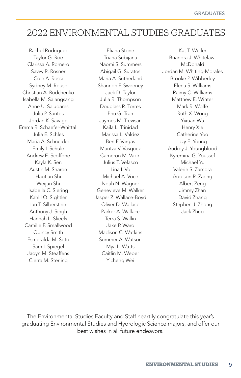## 2022 ENVIRONMENTAL STUDIES GRADUATES

Rachel Rodriguez Taylor G. Roe Clarissa A. Romero Savvy R. Rosner Cole A. Rossi Sydney M. Rouse Christian A. Rudchenko Isabella M. Salangsang Anne U. Saludares Julia P. Santos Jordan K. Savage Emma R. Schaefer-Whittall Julia E. Schles Maria A. Schneider Emily I. Schule Andrew E. Scoffone Kayla K. Sen Austin M. Sharon Haotian Shi Weijun Shi Isabella C. Siering Kahlil O. Sightler Ian T. Silberstein Anthony J. Singh Hannah L. Skeels Camille F. Smallwood Quincy Smith Esmeralda M. Soto Sam I. Spiegel Jadyn M. Steaffens Cierra M. Sterling

Eliana Stone Triana Subijana Naomi S. Summers Abigail G. Suratos Maria A. Sutherland Shannon F. Sweeney Jack D. Taylor Julia R. Thompson Douglass R. Torres Phu G. Tran Jaymes M. Trevisan Kaila L. Trinidad Marissa L. Valdez Ben F. Vargas Maritza V. Vasquez Cameron M. Vaziri Julius T. Velasco Lina L.Vo Michael A. Voce Noah N. Wagner Genevieve M. Walker Jasper Z. Wallace-Boyd Oliver D. Wallace Parker A. Wallace Terra S. Wallin Jake P. Ward Madison C. Watkins Summer A. Watson Mya L. Watts Caitlin M. Weber Yicheng Wei

Kat T. Weller Brianora J. Whitelaw-McDonald Jordan M. Whiting-Morales Brooke P. Wibberley Elena S. Williams Raimy C. Williams Matthew E. Winter Mark R. Wolfe Ruth X. Wong Yixuan Wu Henry Xie Catherine Yoo Izzy E. Young Audrey J. Youngblood Kyremina G. Youssef Michael Yu Valerie S. Zamora Addison R. Zaring Albert Zeng Jimmy Zhan David Zhang Stephen J. Zhong Jack Zhuo

The Environmental Studies Faculty and Staff heartily congratulate this year's graduating Environmental Studies and Hydrologic Science majors, and offer our best wishes in all future endeavors.